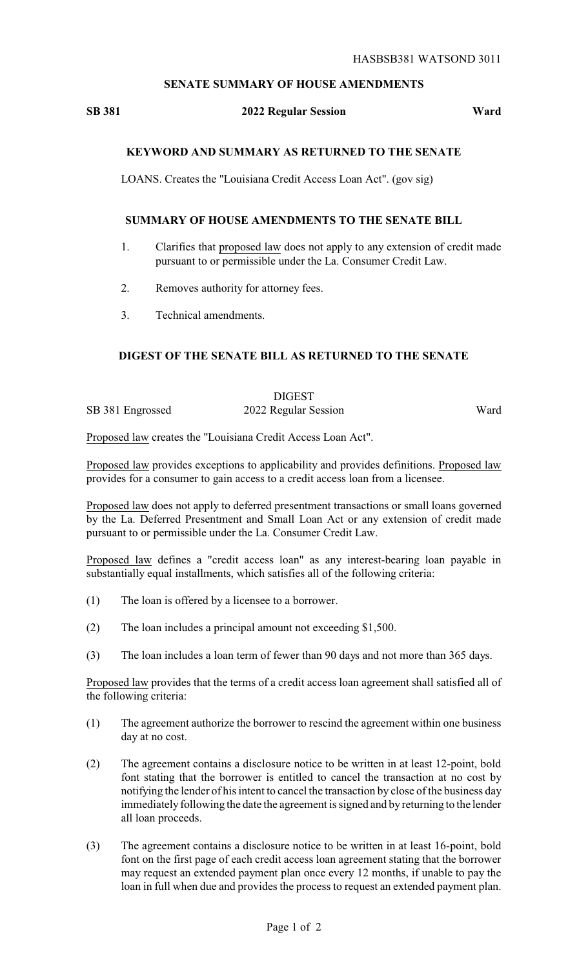# **SENATE SUMMARY OF HOUSE AMENDMENTS**

#### **SB 381 2022 Regular Session Ward**

# **KEYWORD AND SUMMARY AS RETURNED TO THE SENATE**

LOANS. Creates the "Louisiana Credit Access Loan Act". (gov sig)

### **SUMMARY OF HOUSE AMENDMENTS TO THE SENATE BILL**

- 1. Clarifies that proposed law does not apply to any extension of credit made pursuant to or permissible under the La. Consumer Credit Law.
- 2. Removes authority for attorney fees.
- 3. Technical amendments.

# **DIGEST OF THE SENATE BILL AS RETURNED TO THE SENATE**

DIGEST SB 381 Engrossed 2022 Regular Session Ward

Proposed law creates the "Louisiana Credit Access Loan Act".

Proposed law provides exceptions to applicability and provides definitions. Proposed law provides for a consumer to gain access to a credit access loan from a licensee.

Proposed law does not apply to deferred presentment transactions or small loans governed by the La. Deferred Presentment and Small Loan Act or any extension of credit made pursuant to or permissible under the La. Consumer Credit Law.

Proposed law defines a "credit access loan" as any interest-bearing loan payable in substantially equal installments, which satisfies all of the following criteria:

- (1) The loan is offered by a licensee to a borrower.
- (2) The loan includes a principal amount not exceeding \$1,500.
- (3) The loan includes a loan term of fewer than 90 days and not more than 365 days.

Proposed law provides that the terms of a credit access loan agreement shall satisfied all of the following criteria:

- (1) The agreement authorize the borrower to rescind the agreement within one business day at no cost.
- (2) The agreement contains a disclosure notice to be written in at least 12-point, bold font stating that the borrower is entitled to cancel the transaction at no cost by notifying the lender of his intent to cancel the transaction by close of the business day immediately following the date the agreement is signed and by returning to the lender all loan proceeds.
- (3) The agreement contains a disclosure notice to be written in at least 16-point, bold font on the first page of each credit access loan agreement stating that the borrower may request an extended payment plan once every 12 months, if unable to pay the loan in full when due and provides the process to request an extended payment plan.